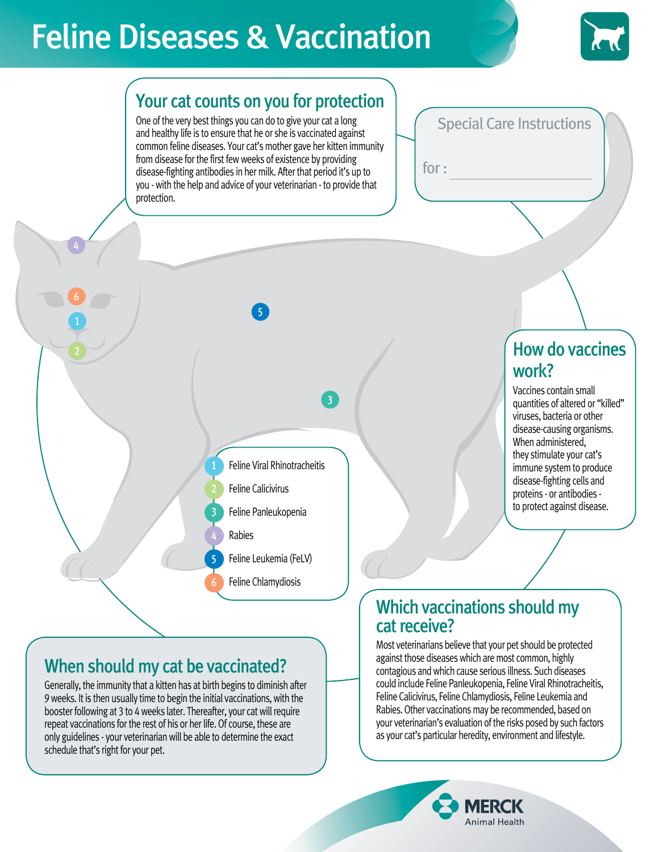# Feline Diseases & Vaccination



## Your cat counts on you for protection

One of the very best things you can do to give your cat a long and healthy life is to ensure that he or she is vaccinated against common feline diseases. Your cat's mother gave her kitten immunity from disease for the first few weeks of existence by providing disease-fighting antibodies in her milk. After that period it's up to you - with the help and advice of your veterinarian - to provide that protection.

5

Feline Viral Rhinotracheitis

Feline Calicivirus

Rabies

Feline Panleukopenia

Feline Leukemia (FeLV)

Feline Chlamydiosis

#### Special Care Instructions

for :

### How do vaccines work?

Vaccines contain small quantities of altered or "killed" viruses, bacteria or other disease-causing organisms. When administered, they stimulate your cat's immune system to produce disease-fighting cells and proteins - or antibodies to protect against disease.

# When should my cat be vaccinated?

1

2

3

4

5

6

Generally, the immunity that a kitten has at birth begins to diminish after 9 weeks. It is then usually time to begin the initial vaccinations, with the booster following at 3 to 4 weeks later. Thereafter, your cat will require repeat vaccinations for the rest of his or her life. Of course, these are only guidelines - your veterinarian will be able to determine the exact schedule that's right for your pet.

1

6

2

#### Which vaccinations should my cat receive?

Most veterinarians believe that your pet should be protected against those diseases which are most common, highly contagious and which cause serious illness. Such diseases could include Feline Panleukopenia, Feline Viral Rhinotracheitis, Feline Calicivirus, Feline Chlamydiosis, Feline Leukemia and Rabies. Other vaccinations may be recommended, based on your veterinarian's evaluation of the risks posed by such factors as your cat's particular heredity, environment and lifestyle.